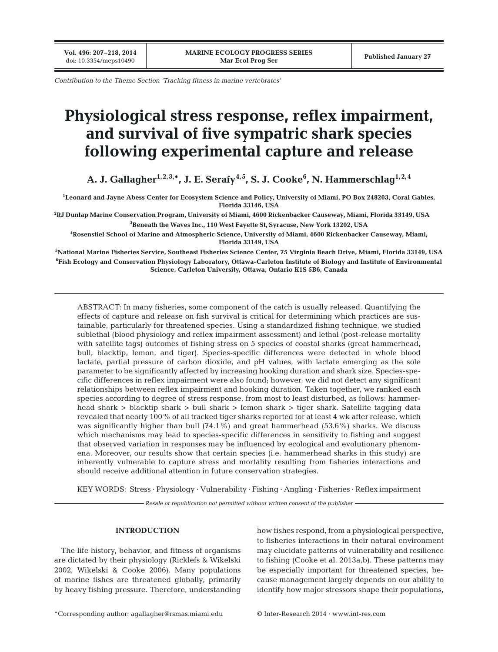**Vol. 496: 207–218, 2014**

*Contribution to the Theme Section 'Tracking fitness in marine vertebrates'*

# **Physiological stress response, reflex impairment, and survival of five sympatric shark species following experimental capture and release**

A. J. Gallagher<sup>1,2,3,</sup>\*, J. E. Serafy<sup>4,5</sup>, S. J. Cooke<sup>6</sup>, N. Hammerschlag<sup>1,2,4</sup>

**1 Leonard and Jayne Abess Center for Ecosystem Science and Policy, University of Miami, PO Box 248203, Coral Gables, Florida 33146, USA**

**2 RJ Dunlap Marine Conservation Program, University of Miami, 4600 Rickenbacker Causeway, Miami, Florida 33149, USA 3 Beneath the Waves Inc., 110 West Fayette St, Syracuse, New York 13202, USA**

**4 Rosenstiel School of Marine and Atmospheric Science, University of Miami, 4600 Rickenbacker Causeway, Miami, Florida 33149, USA**

**5 National Marine Fisheries Service, Southeast Fisheries Science Center, 75 Virginia Beach Drive, Miami, Florida 33149, USA 6 Fish Ecology and Conservation Physiology Laboratory, Ottawa-Carleton Institute of Biology and Institute of Environmental Science, Carleton University, Ottawa, Ontario K1S 5B6, Canada**

ABSTRACT: In many fisheries, some component of the catch is usually released. Quantifying the effects of capture and release on fish survival is critical for determining which practices are sustainable, particularly for threatened species. Using a standardized fishing technique, we studied sublethal (blood physiology and reflex impairment assessment) and lethal (post-release mortality with satellite tags) outcomes of fishing stress on 5 species of coastal sharks (great hammerhead, bull, blacktip, lemon, and tiger). Species-specific differences were detected in whole blood lactate, partial pressure of carbon dioxide, and pH values, with lactate emerging as the sole parameter to be significantly affected by increasing hooking duration and shark size. Species-specific differences in reflex impairment were also found; however, we did not detect any significant relationships between reflex impairment and hooking duration. Taken together, we ranked each species according to degree of stress response, from most to least disturbed, as follows: hammerhead shark > blacktip shark > bull shark > lemon shark > tiger shark. Satellite tagging data revealed that nearly 100% of all tracked tiger sharks reported for at least 4 wk after release, which was significantly higher than bull  $(74.1\%)$  and great hammerhead  $(53.6\%)$  sharks. We discuss which mechanisms may lead to species-specific differences in sensitivity to fishing and suggest that observed variation in responses may be influenced by ecological and evolutionary phenomena. Moreover, our results show that certain species (i.e. hammerhead sharks in this study) are inherently vulnerable to capture stress and mortality resulting from fisheries interactions and should receive additional attention in future conservation strategies.

KEY WORDS: Stress · Physiology · Vulnerability · Fishing · Angling · Fisheries · Reflex impairment

*Resale or republication not permitted without written consent of the publisher*

## **INTRODUCTION**

The life history, behavior, and fitness of organisms are dictated by their physiology (Ricklefs & Wikelski 2002, Wikelski & Cooke 2006). Many populations of marine fishes are threatened globally, primarily by heavy fishing pressure. Therefore, understanding

how fishes respond, from a physiological perspective, to fisheries interactions in their natural environment may elucidate patterns of vulnerability and resilience to fishing (Cooke et al. 2013a,b). These patterns may be especially important for threatened species, be cause management largely depends on our ability to identify how major stressors shape their populations,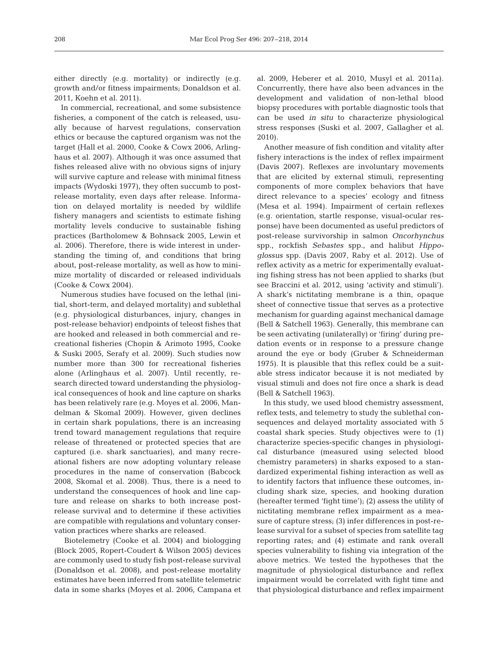either directly (e.g. mortality) or indirectly (e.g. growth and/or fitness impairments; Donaldson et al. 2011, Koehn et al. 2011).

In commercial, recreational, and some subsistence fisheries, a component of the catch is released, usually because of harvest regulations, conservation ethics or because the captured organism was not the target (Hall et al. 2000, Cooke & Cowx 2006, Arlinghaus et al. 2007). Although it was once assumed that fishes released alive with no obvious signs of injury will survive capture and release with minimal fitness impacts (Wydoski 1977), they often succumb to postrelease mortality, even days after release. Information on delayed mortality is needed by wildlife fishery managers and scientists to estimate fishing mortality levels conducive to sustainable fishing practices (Bartholomew & Bohnsack 2005, Lewin et al. 2006). Therefore, there is wide interest in understanding the timing of, and conditions that bring about, post-release mortality, as well as how to minimize mortality of discarded or released individuals (Cooke & Cowx 2004).

Numerous studies have focused on the lethal (initial, short-term, and delayed mortality) and sublethal (e.g. physiological disturbances, injury, changes in post-release behavior) endpoints of teleost fishes that are hooked and released in both commercial and re creational fisheries (Chopin & Arimoto 1995, Cooke & Suski 2005, Serafy et al. 2009). Such studies now number more than 300 for recreational fisheries alone (Arlinghaus et al. 2007). Until recently, research directed toward understanding the physiological consequences of hook and line capture on sharks has been relatively rare (e.g. Moyes et al. 2006, Mandelman & Skomal 2009). However, given declines in certain shark populations, there is an increasing trend toward management regulations that require release of threatened or protected species that are captured (i.e. shark sanctuaries), and many recreational fishers are now adopting voluntary release procedures in the name of conservation (Babcock 2008, Skomal et al. 2008). Thus, there is a need to understand the consequences of hook and line capture and release on sharks to both increase postrelease survival and to determine if these activities are compatible with regulations and voluntary conservation practices where sharks are released.

Biotelemetry (Cooke et al. 2004) and biologging (Block 2005, Ropert-Coudert & Wilson 2005) devices are commonly used to study fish post-release survival (Donaldson et al. 2008), and post-release mortality estimates have been inferred from satellite telemetric data in some sharks (Moyes et al. 2006, Campana et

al. 2009, Heberer et al. 2010, Musyl et al. 2011a). Concurrently, there have also been advances in the development and validation of non-lethal blood biopsy procedures with portable diagnostic tools that can be used *in situ* to characterize physiological stress responses (Suski et al. 2007, Gallagher et al. 2010).

Another measure of fish condition and vitality after fishery interactions is the index of reflex impairment (Davis 2007). Reflexes are involuntary movements that are elicited by external stimuli, representing components of more complex behaviors that have direct relevance to a species' ecology and fitness (Mesa et al. 1994). Impairment of certain reflexes (e.g. orientation, startle response, visual-ocular res ponse) have been documented as useful predictors of post-release survivorship in salmon *Oncorhynchus* spp., rockfish *Sebastes* spp., and halibut *Hippo glossus* spp. (Davis 2007, Raby et al. 2012). Use of reflex activity as a metric for experimentally evaluating fishing stress has not been applied to sharks (but see Braccini et al. 2012, using 'activity and stimuli'). A shark's nictitating membrane is a thin, opaque sheet of connective tissue that serves as a protective mechanism for guarding against mechanical damage (Bell & Satchell 1963). Generally, this membrane can be seen activating (unilaterally) or 'firing' during predation events or in response to a pressure change around the eye or body (Gruber & Schneiderman 1975). It is plausible that this reflex could be a suitable stress indicator because it is not mediated by visual stimuli and does not fire once a shark is dead (Bell & Satchell 1963).

In this study, we used blood chemistry assessment, reflex tests, and telemetry to study the sublethal consequences and delayed mortality associated with 5 coastal shark species. Study objectives were to (1) characterize species-specific changes in physiological disturbance (measured using selected blood chemistry parameters) in sharks exposed to a standardized experimental fishing interaction as well as to identify factors that influence these outcomes, including shark size, species, and hooking duration (hereafter termed 'fight time'); (2) assess the utility of nictitating membrane reflex impairment as a mea sure of capture stress; (3) infer differences in post-release survival for a subset of species from satellite tag reporting rates; and (4) estimate and rank overall species vulnerability to fishing via integration of the above metrics. We tested the hypotheses that the magnitude of physiological disturbance and reflex impairment would be correlated with fight time and that physiological disturbance and reflex impairment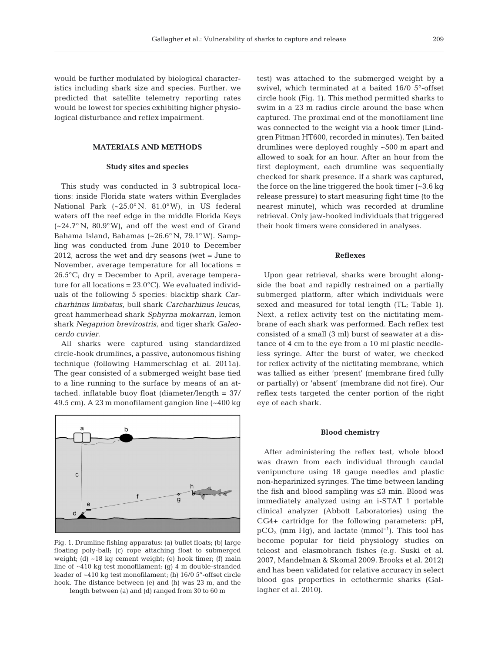would be further modulated by biological characteristics including shark size and species. Further, we predicted that satellite telemetry reporting rates would be lowest for species exhibiting higher physiological disturbance and reflex impairment.

## **MATERIALS AND METHODS**

#### **Study sites and species**

This study was conducted in 3 subtropical locations: inside Florida state waters within Everglades National Park (~25.0° N, 81.0°W), in US federal waters off the reef edge in the middle Florida Keys  $(-24.7°\text{ N}, 80.9°\text{ W})$ , and off the west end of Grand Bahama Island, Bahamas (~26.6° N, 79.1°W). Samp ling was conducted from June 2010 to December 2012, across the wet and dry seasons (wet = June to November, average temperature for all locations = 26.5°C; dry = December to April, average temperature for all locations =  $23.0^{\circ}$ C). We evaluated individuals of the following 5 species: blacktip shark *Carcharhinus limbatus*, bull shark *Carcharhinus leucas*, great hammerhead shark *Sphyrna mokarran*, lemon shark *Negaprion brevirostris*, and tiger shark *Galeocerdo cuvier*.

All sharks were captured using standardized circle-hook drumlines, a passive, autonomous fishing technique (following Hammerschlag et al. 2011a). The gear consisted of a submerged weight base tied to a line running to the surface by means of an attached, inflatable buoy float (diameter/length = 37/ 49.5 cm). A 23 m monofilament gangion line (~400 kg



Fig. 1. Drumline fishing apparatus: (a) bullet floats; (b) large floating poly-ball; (c) rope attaching float to submerged weight; (d) ~18 kg cement weight; (e) hook timer; (f) main line of ~410 kg test monofilament; (g) 4 m double-stranded leader of ~410 kg test monofilament; (h) 16/0 5°-offset circle hook. The distance between (e) and (h) was 23 m, and the length between (a) and (d) ranged from 30 to 60 m

test) was attached to the submerged weight by a swivel, which terminated at a baited 16/0 5°-offset circle hook (Fig. 1). This method permitted sharks to swim in a 23 m radius circle around the base when captured. The proximal end of the monofilament line was connected to the weight via a hook timer (Lindgren Pitman HT600, recorded in minutes). Ten baited drumlines were deployed roughly ~500 m apart and allowed to soak for an hour. After an hour from the first deployment, each drumline was sequentially checked for shark presence. If a shark was captured, the force on the line triggered the hook timer (~3.6 kg release pressure) to start measuring fight time (to the nearest minute), which was recorded at drumline retrieval. Only jaw-hooked individuals that triggered their hook timers were considered in analyses.

#### **Reflexes**

Upon gear retrieval, sharks were brought alongside the boat and rapidly restrained on a partially submerged platform, after which individuals were sexed and measured for total length (TL; Table 1). Next, a reflex activity test on the nictitating membrane of each shark was performed. Each reflex test consisted of a small (3 ml) burst of seawater at a distance of 4 cm to the eye from a 10 ml plastic needleless syringe. After the burst of water, we checked for reflex activity of the nictitating membrane, which was tallied as either 'present' (membrane fired fully or partially) or 'absent' (membrane did not fire). Our reflex tests targeted the center portion of the right eye of each shark.

#### **Blood chemistry**

After administering the reflex test, whole blood was drawn from each individual through caudal venipuncture using 18 gauge needles and plastic non-heparinized syringes. The time between landing the fish and blood sampling was ≤3 min. Blood was immediately analyzed using an i-STAT 1 portable clinical analyzer (Abbott Laboratories) using the CG4+ cartridge for the following parameters: pH,  $pCO<sub>2</sub>$  (mm Hg), and lactate (mmol<sup>-1</sup>). This tool has become popular for field physiology studies on teleost and elasmobranch fishes (e.g. Suski et al. 2007, Mandelman & Skomal 2009, Brooks et al. 2012) and has been validated for relative accuracy in select blood gas properties in ectothermic sharks (Gallagher et al. 2010).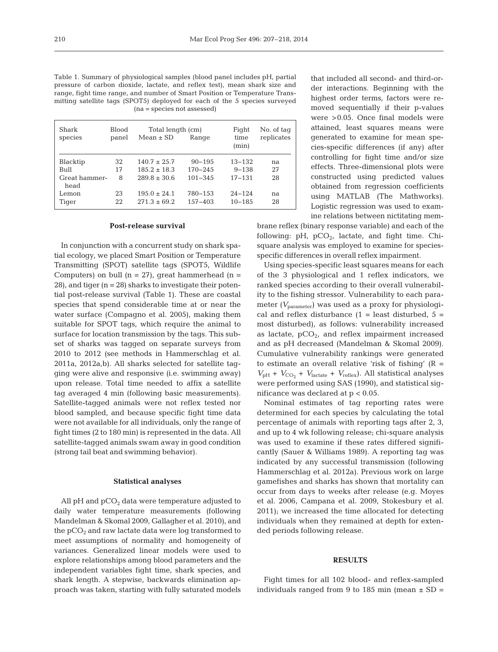| Table 1. Summary of physiological samples (blood panel includes pH, partial |
|-----------------------------------------------------------------------------|
| pressure of carbon dioxide, lactate, and reflex test), mean shark size and  |
| range, fight time range, and number of Smart Position or Temperature Trans- |
| mitting satellite tags (SPOT5) deployed for each of the 5 species surveyed  |
| $(na = species not assessed)$                                               |

| Shark<br>species      | <b>Blood</b><br>panel | Total length (cm)<br>$Mean \pm SD$ | Range       | Fight<br>time<br>(min) | No. of tag<br>replicates |
|-----------------------|-----------------------|------------------------------------|-------------|------------------------|--------------------------|
| Blacktip              | 32                    | $140.7 \pm 25.7$                   | $90 - 195$  | $13 - 132$             | na                       |
| Bull                  | 17                    | $185.2 \pm 18.3$                   | $170 - 245$ | $9 - 138$              | 27                       |
| Great hammer-<br>head | 8                     | $289.8 \pm 30.6$                   | $101 - 345$ | $17 - 131$             | 28                       |
| Lemon                 | 23                    | $195.0 \pm 24.1$                   | 780-153     | $24 - 124$             | na                       |
| Tiger                 | 22                    | $271.3 \pm 69.2$                   | $157 - 403$ | $10 - 185$             | 28                       |

#### **Post-release survival**

In conjunction with a concurrent study on shark spatial ecology, we placed Smart Position or Temperature Transmitting (SPOT) satellite tags (SPOT5, Wildlife Computers) on bull  $(n = 27)$ , great hammerhead  $(n = 17)$ 28), and tiger (n = 28) sharks to investigate their potential post-release survival (Table 1). These are coastal species that spend considerable time at or near the water surface (Compagno et al. 2005), making them suitable for SPOT tags, which require the animal to surface for location transmission by the tags. This subset of sharks was tagged on separate surveys from 2010 to 2012 (see methods in Hammerschlag et al. 2011a, 2012a,b). All sharks selected for satellite tagging were alive and responsive (i.e. swimming away) upon release. Total time needed to affix a satellite tag averaged 4 min (following basic measurements). Satellite-tagged animals were not reflex tested nor blood sampled, and because specific fight time data were not available for all individuals, only the range of fight times (2 to 180 min) is represented in the data. All satellite-tagged animals swam away in good condition (strong tail beat and swimming behavior).

#### **Statistical analyses**

All pH and  $pCO<sub>2</sub>$  data were temperature adjusted to daily water temperature measurements (following Mandelman & Skomal 2009, Gallagher et al. 2010), and the  $pCO<sub>2</sub>$  and raw lactate data were log transformed to meet assumptions of normality and homogeneity of variances. Generalized linear models were used to explore relationships among blood parameters and the independent variables fight time, shark species, and shark length. A stepwise, backwards elimination approach was taken, starting with fully saturated models that included all second- and third-order interactions. Beginning with the highest order terms, factors were removed sequentially if their p-values were >0.05. Once final models were attained, least squares means were generated to examine for mean species-specific differences (if any) after controlling for fight time and/or size effects. Three-dimensional plots were constructed using predicted values obtained from regression coefficients using MATLAB (The Mathworks). Logistic regression was used to examine relations between nictitating mem-

brane reflex (binary response variable) and each of the following:  $pH$ ,  $pCO<sub>2</sub>$ , lactate, and fight time. Chisquare analysis was employed to examine for speciesspecific differences in overall reflex impairment.

Using species-specific least squares means for each of the 3 physiological and 1 reflex indicators, we ranked species according to their overall vulnerability to the fishing stressor. Vulnerability to each parameter *(V*parameter) was used as a proxy for physiological and reflex disturbance  $(1 =$  least disturbed,  $5 =$ most disturbed), as follows: vulnerability increased as lactate,  $pCO<sub>2</sub>$ , and reflex impairment increased and as pH decreased (Mandelman & Skomal 2009). Cumulative vulnerability rankings were generated to estimate an overall relative 'risk of fishing'  $(R =$  $V_{\text{pH}}$  +  $V_{\text{CO}_2}$  +  $V_{\text{lactate}}$  +  $V_{\text{reflex}}$ ). All statistical analyses were performed using SAS (1990), and statistical significance was declared at p < 0.05.

Nominal estimates of tag reporting rates were determined for each species by calculating the total percentage of animals with reporting tags after 2, 3, and up to 4 wk following release; chi-square analysis was used to examine if these rates differed significantly (Sauer & Williams 1989). A reporting tag was indicated by any successful transmission (following Hammerschlag et al. 2012a). Previous work on large gamefishes and sharks has shown that mortality can occur from days to weeks after release (e.g. Moyes et al. 2006, Campana et al. 2009, Stokesbury et al. 2011); we increased the time allocated for detecting individuals when they remained at depth for extended periods following release.

#### **RESULTS**

Fight times for all 102 blood- and reflex-sampled individuals ranged from 9 to 185 min (mean  $\pm$  SD =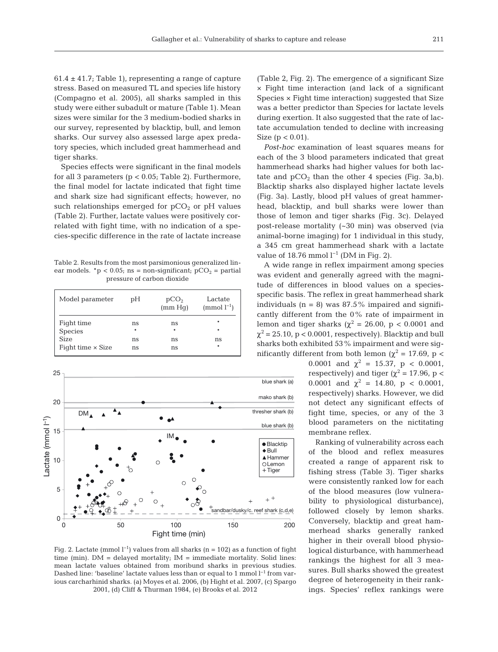$61.4 \pm 41.7$ ; Table 1), representing a range of capture stress. Based on measured TL and species life history (Compagno et al. 2005), all sharks sampled in this study were either subadult or mature (Table 1). Mean sizes were similar for the 3 medium-bodied sharks in our survey, represented by blacktip, bull, and lemon sharks. Our survey also assessed large apex predatory species, which included great hammerhead and tiger sharks.

Species effects were significant in the final models for all 3 parameters ( $p < 0.05$ ; Table 2). Furthermore, the final model for lactate indicated that fight time and shark size had significant effects; however, no such relationships emerged for  $pCO<sub>2</sub>$  or pH values (Table 2). Further, lactate values were positively correlated with fight time, with no indication of a species-specific difference in the rate of lactate increase

Table 2. Results from the most parsimonious generalized linear models. \*p < 0.05; ns = non-significant;  $pCO_2$  = partial pressure of carbon dioxide

| Model parameter          | pH     | pCO <sub>2</sub><br>(mm Hq) | Lactate<br>$\pmod{l^{-1}}$ |
|--------------------------|--------|-----------------------------|----------------------------|
| Fight time               | ns     | ns                          | *                          |
| <b>Species</b>           | $\ast$ | $\ast$                      |                            |
| <b>Size</b>              | ns     | ns                          | ns                         |
| Fight time $\times$ Size | ns     | ns                          | *                          |



Fig. 2. Lactate (mmol  $l^{-1}$ ) values from all sharks (n = 102) as a function of fight time (min).  $DM =$  delayed mortality;  $IM =$  immediate mortality. Solid lines: mean lactate values obtained from moribund sharks in previous studies. Dashed line: 'baseline' lactate values less than or equal to 1 mmol l<sup>-1</sup> from various carcharhinid sharks. (a) Moyes et al. 2006, (b) Hight et al. 2007, (c) Spargo 2001, (d) Cliff & Thurman 1984, (e) Brooks et al. 2012

(Table 2, Fig. 2). The emergence of a significant Size × Fight time interaction (and lack of a significant Species × Fight time interaction) suggested that Size was a better predictor than Species for lactate levels during exertion. It also suggested that the rate of lactate accumulation tended to decline with increasing Size ( $p < 0.01$ ).

*Post-hoc* examination of least squares means for each of the 3 blood parameters indicated that great hammerhead sharks had higher values for both lactate and  $pCO<sub>2</sub>$  than the other 4 species (Fig. 3a,b). Blacktip sharks also displayed higher lactate levels (Fig. 3a). Lastly, blood pH values of great hammerhead, blacktip, and bull sharks were lower than those of lemon and tiger sharks (Fig. 3c). Delayed post-release mortality (~30 min) was observed (via animal-borne imaging) for 1 individual in this study, a 345 cm great hammerhead shark with a lactate value of 18.76 mmol  $l^{-1}$  (DM in Fig. 2).

A wide range in reflex impairment among species was evident and generally agreed with the magnitude of differences in blood values on a speciesspecific basis. The reflex in great hammerhead shark individuals  $(n = 8)$  was  $87.5\%$  impaired and significantly different from the 0% rate of impairment in lemon and tiger sharks ( $\chi^2$  = 26.00, p < 0.0001 and  $\chi^2$  = 25.10, p < 0.0001, respectively). Blacktip and bull sharks both exhibited 53% impairment and were significantly different from both lemon ( $χ² = 17.69$ , p <

0.0001 and  $\chi^2 = 15.37$ , p < 0.0001, respectively) and tiger ( $\chi^2$  = 17.96, p < 0.0001 and  $\chi^2 = 14.80$ , p < 0.0001, respectively) sharks. However, we did not detect any significant effects of fight time, species, or any of the 3 blood parameters on the nictitating membrane reflex.

Ranking of vulnerability across each of the blood and reflex measures created a range of apparent risk to fishing stress (Table 3). Tiger sharks were consistently ranked low for each of the blood measures (low vulnera bility to physiological disturbance), followed closely by lemon sharks. Conversely, blacktip and great hammerhead sharks generally ranked higher in their overall blood physiological disturbance, with hammerhead rankings the highest for all 3 measures. Bull sharks showed the greatest degree of heterogeneity in their rankings. Species' reflex rankings were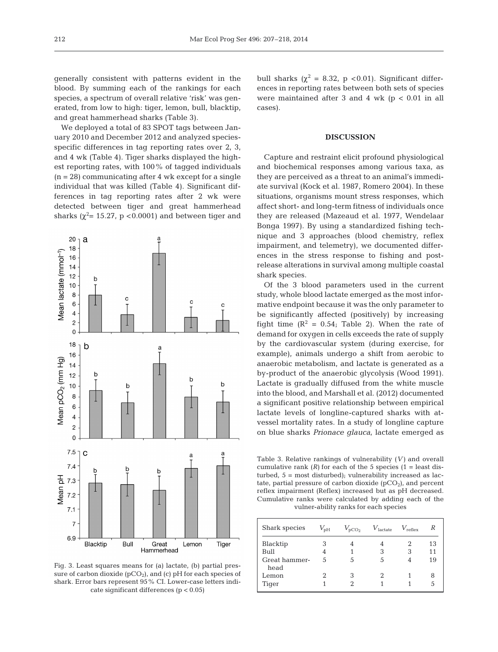generally consistent with patterns evident in the blood. By summing each of the rankings for each species, a spectrum of overall relative 'risk' was generated, from low to high: tiger, lemon, bull, blacktip, and great hammerhead sharks (Table 3).

We deployed a total of 83 SPOT tags between January 2010 and December 2012 and analyzed speciesspecific differences in tag reporting rates over 2, 3, and 4 wk (Table 4). Tiger sharks displayed the highest reporting rates, with 100% of tagged individuals  $(n = 28)$  communicating after 4 wk except for a single individual that was killed (Table 4). Significant differences in tag reporting rates after 2 wk were detected between tiger and great hammerhead sharks ( $\chi^2$ = 15.27, p < 0.0001) and between tiger and



Fig. 3. Least squares means for (a) lactate, (b) partial pressure of carbon dioxide  $(pCO<sub>2</sub>)$ , and (c) pH for each species of shark. Error bars represent 95% CI. Lower-case letters indicate significant differences (p < 0.05)

bull sharks ( $χ² = 8.32$ , p <0.01). Significant differences in reporting rates between both sets of species were maintained after 3 and 4 wk ( $p < 0.01$  in all cases).

#### **DISCUSSION**

Capture and restraint elicit profound physiological and biochemical responses among various taxa, as they are perceived as a threat to an animal's immediate survival (Kock et al. 1987, Romero 2004). In these situations, organisms mount stress responses, which affect short- and long-term fitness of individuals once they are released (Mazeaud et al. 1977, Wendelaar Bonga 1997). By using a standardized fishing technique and 3 approaches (blood chemistry, reflex impairment, and telemetry), we documented differences in the stress response to fishing and postrelease alterations in survival among multiple coastal shark species.

Of the 3 blood parameters used in the current study, whole blood lactate emerged as the most informative endpoint because it was the only parameter to be significantly affected (positively) by increasing fight time  $(R^2 = 0.54;$  Table 2). When the rate of demand for oxygen in cells exceeds the rate of supply by the cardiovascular system (during exercise, for example), animals undergo a shift from aerobic to anaerobic metabolism, and lactate is generated as a by-product of the anaerobic glycolysis (Wood 1991). Lactate is gradually diffused from the white muscle into the blood, and Marshall et al. (2012) documented a significant positive relationship between empirical lactate levels of longline-captured sharks with atvessel mortality rates. In a study of longline capture on blue sharks *Prionace glauca*, lactate emerged as

Table 3. Relative rankings of vulnerability (*V)* and overall cumulative rank  $(R)$  for each of the 5 species  $(1 =$  least disturbed, 5 = most disturbed); vulnerability increased as lactate, partial pressure of carbon dioxide  $(pCO<sub>2</sub>)$ , and percent reflex impairment (Reflex) increased but as pH decreased. Cumulative ranks were calculated by adding each of the vulner-ability ranks for each species

| Shark species         | $V_{\rm pH}$ | $V_{\text{pCO}_2}$ | $V_{\text{lactate}}$ | $V_{\text{reflex}}$ | R  |
|-----------------------|--------------|--------------------|----------------------|---------------------|----|
| Blacktip              | 3            |                    |                      |                     | 13 |
| Bull                  | 4            |                    | 3                    | 3                   | 11 |
| Great hammer-<br>head | 5            | 5                  | 5                    |                     | 19 |
| Lemon                 |              | З                  | 2                    |                     | 8  |
| Tiger                 |              |                    |                      |                     | 5  |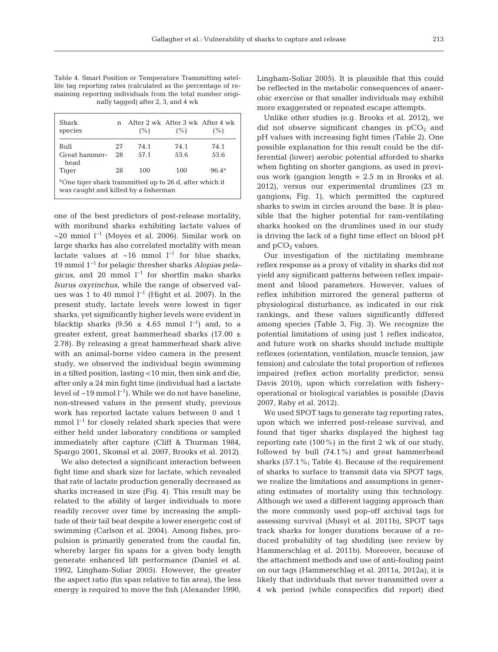Table 4. Smart Position or Temperature Transmitting satellite tag reporting rates (calculated as the percentage of remaining reporting individuals from the total number originally tagged) after 2, 3, and 4 wk

| Shark<br>species                                                                                            | n  | (% ) | After 2 wk After 3 wk After 4 wk<br>(% ) | (%)            |  |
|-------------------------------------------------------------------------------------------------------------|----|------|------------------------------------------|----------------|--|
| Bull                                                                                                        | 27 | 74.1 | 74.1                                     | 74.1           |  |
| Great hammer-<br>head                                                                                       | 28 | 57.1 | 53.6                                     | 53.6           |  |
| Tiger                                                                                                       | 28 | 100  | 100                                      | $96.4^{\rm a}$ |  |
| <sup>a</sup> One tiger shark transmitted up to 26 d, after which it<br>was caught and killed by a fisherman |    |      |                                          |                |  |

one of the best predictors of post-release mortality, with moribund sharks exhibiting lactate values of ~20 mmol l−1 (Moyes et al. 2006). Similar work on large sharks has also correlated mortality with mean lactate values at ~16 mmol  $l^{-1}$  for blue sharks, 19 mmol 1−1 for pelagic thresher sharks *Alopias pela gicus*, and 20 mmol l<sup>−1</sup> for shortfin mako sharks *Isurus oxyrinchus*, while the range of observed values was 1 to 40 mmol  $l^{-1}$  (Hight et al. 2007). In the present study, lactate levels were lowest in tiger sharks, yet significantly higher levels were evident in blacktip sharks (9.56  $\pm$  4.65 mmol l<sup>-1</sup>) and, to a greater extent, great hammerhead sharks  $(17.00 \pm$ 2.78). By releasing a great hammerhead shark alive with an animal-borne video camera in the present study, we observed the individual begin swimming in a tilted position, lasting <10 min, then sink and die, after only a 24 min fight time (individual had a lactate level of ~19 mmol l−1). While we do not have baseline, non-stressed values in the present study, previous work has reported lactate values between 0 and 1 mmol l<sup>-1</sup> for closely related shark species that were either held under laboratory conditions or sampled immediately after capture (Cliff & Thurman 1984, Spargo 2001, Skomal et al. 2007, Brooks et al. 2012).

We also detected a significant interaction between fight time and shark size for lactate, which revealed that rate of lactate production generally decreased as sharks increased in size (Fig. 4). This result may be related to the ability of larger individuals to more readily recover over time by increasing the amplitude of their tail beat despite a lower energetic cost of swimming (Carlson et al. 2004). Among fishes, propulsion is primarily generated from the caudal fin, whereby larger fin spans for a given body length generate enhanced lift performance (Daniel et al. 1992, Lingham-Soliar 2005). However, the greater the aspect ratio (fin span relative to fin area), the less energy is required to move the fish (Alexander 1990, Lingham-Soliar 2005). It is plausible that this could be reflected in the metabolic consequences of anaerobic exercise or that smaller individuals may exhibit more exaggerated or repeated escape attempts.

Unlike other studies (e.g. Brooks et al. 2012), we did not observe significant changes in  $pCO<sub>2</sub>$  and pH values with increasing fight times (Table 2). One possible explanation for this result could be the differential (lower) aerobic potential afforded to sharks when fighting on shorter gangions, as used in previous work (gangion length = 2.5 m in Brooks et al. 2012), versus our experimental drumlines (23 m gangions; Fig. 1), which permitted the captured sharks to swim in circles around the base. It is plau sible that the higher potential for ram-ventilating sharks hooked on the drumlines used in our study is driving the lack of a fight time effect on blood pH and  $pCO<sub>2</sub>$  values.

Our investigation of the nictitating membrane reflex response as a proxy of vitality in sharks did not yield any significant patterns between reflex impairment and blood parameters. However, values of reflex inhibition mirrored the general patterns of physiological disturbance, as indicated in our risk rankings, and these values significantly differed among species (Table 3, Fig. 3). We recognize the potential limitations of using just 1 reflex indicator, and future work on sharks should include multiple reflexes (orientation, ventilation, muscle tension, jaw tension) and calculate the total proportion of reflexes impaired (reflex action mortality predictor; sensu Davis 2010), upon which correlation with fisheryoperational or biological variables is possible (Davis 2007, Raby et al. 2012).

We used SPOT tags to generate tag reporting rates, upon which we inferred post-release survival, and found that tiger sharks displayed the highest tag reporting rate (100%) in the first 2 wk of our study, followed by bull (74.1%) and great hammerhead sharks (57.1%; Table 4). Because of the requirement of sharks to surface to transmit data via SPOT tags, we realize the limitations and assumptions in generating estimates of mortality using this technology. Although we used a different tagging approach than the more commonly used pop-off archival tags for assessing survival (Musyl et al. 2011b), SPOT tags track sharks for longer durations because of a re duced probability of tag shedding (see review by Hammerschlag et al. 2011b). Moreover, because of the attachment methods and use of anti-fouling paint on our tags (Hammerschlag et al. 2011a, 2012a), it is likely that individuals that never transmitted over a 4 wk period (while conspecifics did report) died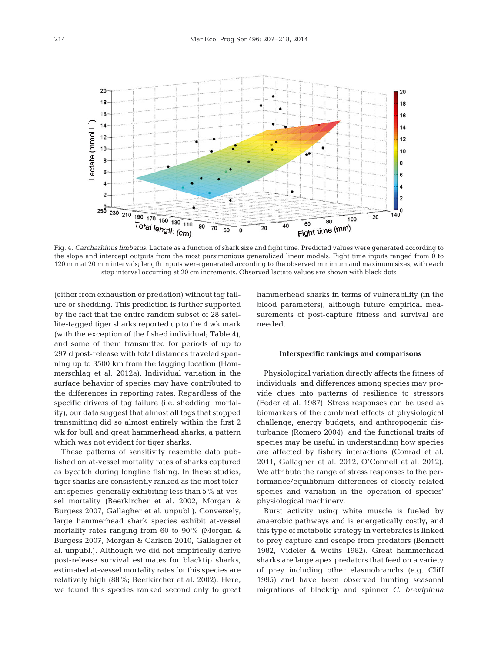

Fig. 4. *Carcharhinus limbatus*. Lactate as a function of shark size and fight time. Predicted values were generated according to the slope and intercept outputs from the most parsimonious generalized linear models. Fight time inputs ranged from 0 to 120 min at 20 min intervals; length inputs were generated according to the observed minimum and maximum sizes, with each step interval occurring at 20 cm increments. Observed lactate values are shown with black dots

(either from exhaustion or predation) without tag failure or shedding. This prediction is further supported by the fact that the entire random subset of 28 satellite-tagged tiger sharks reported up to the 4 wk mark (with the exception of the fished individual; Table 4), and some of them transmitted for periods of up to 297 d post-release with total distances traveled spanning up to 3500 km from the tagging location (Hammerschlag et al. 2012a). Individual variation in the surface behavior of species may have contributed to the differences in reporting rates. Regardless of the specific drivers of tag failure (i.e. shedding, mortality), our data suggest that almost all tags that stopped transmitting did so almost entirely within the first 2 wk for bull and great hammerhead sharks, a pattern which was not evident for tiger sharks.

These patterns of sensitivity resemble data published on at-vessel mortality rates of sharks captured as bycatch during longline fishing. In these studies, tiger sharks are consistently ranked as the most tolerant species, generally exhibiting less than  $5\%$  at-vessel mortality (Beerkircher et al. 2002, Morgan & Burgess 2007, Gallagher et al. unpubl.). Conversely, large hammerhead shark species exhibit at-vessel mortality rates ranging from 60 to 90% (Morgan & Burgess 2007, Morgan & Carlson 2010, Gallagher et al. unpubl.). Although we did not empirically derive post-release survival estimates for blacktip sharks, estimated at-vessel mortality rates for this species are relatively high (88%; Beerkircher et al. 2002). Here, we found this species ranked second only to great hammerhead sharks in terms of vulnerability (in the blood parameters), although future empirical measurements of post-capture fitness and survival are needed.

## **Interspecific rankings and comparisons**

Physiological variation directly affects the fitness of individuals, and differences among species may provide clues into patterns of resilience to stressors (Feder et al. 1987). Stress responses can be used as biomarkers of the combined effects of physiological challenge, energy budgets, and anthropogenic disturbance (Romero 2004), and the functional traits of species may be useful in understanding how species are affected by fishery interactions (Conrad et al. 2011, Gallagher et al. 2012, O'Connell et al. 2012). We attribute the range of stress responses to the performance/equilibrium differences of closely related species and variation in the operation of species' physiological machinery.

Burst activity using white muscle is fueled by anaerobic pathways and is energetically costly, and this type of metabolic strategy in vertebrates is linked to prey capture and escape from predators (Bennett 1982, Videler & Weihs 1982). Great hammerhead sharks are large apex predators that feed on a variety of prey including other elasmobranchs (e.g. Cliff 1995) and have been observed hunting seasonal migrations of blacktip and spinner *C. brevipinna*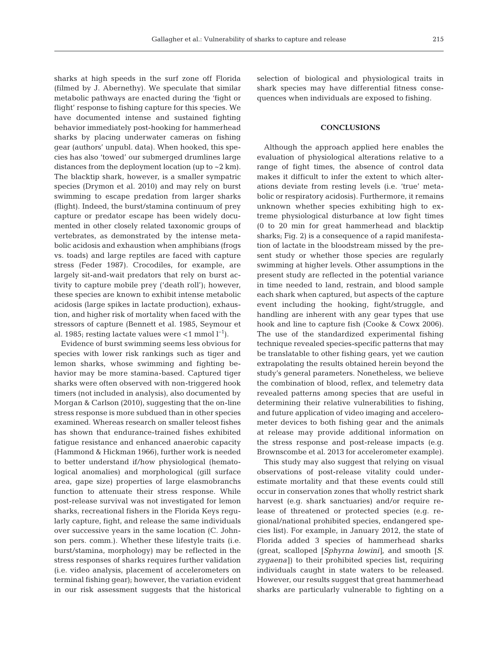sharks at high speeds in the surf zone off Florida (filmed by J. Abernethy). We speculate that similar metabolic pathways are enacted during the 'fight or flight' response to fishing capture for this species. We have documented intense and sustained fighting behavior immediately post-hooking for hammerhead sharks by placing underwater cameras on fishing gear (authors' unpubl. data). When hooked, this species has also 'towed' our submerged drumlines large distances from the deployment location (up to ~2 km). The blacktip shark, however, is a smaller sympatric species (Drymon et al. 2010) and may rely on burst swimming to escape predation from larger sharks (flight). Indeed, the burst/stamina continuum of prey capture or predator escape has been widely documented in other closely related taxonomic groups of vertebrates, as demonstrated by the intense metabolic acidosis and exhaustion when amphibians (frogs vs. toads) and large reptiles are faced with capture stress (Feder 1987). Crocodiles, for example, are largely sit-and-wait predators that rely on burst ac tivity to capture mobile prey ('death roll'); however, these species are known to exhibit intense metabolic acidosis (large spikes in lactate production), exhaustion, and higher risk of mortality when faced with the stressors of capture (Bennett et al. 1985, Seymour et al. 1985; resting lactate values were <1 mmol  $l^{-1}$ ).

Evidence of burst swimming seems less obvious for species with lower risk rankings such as tiger and lemon sharks, whose swimming and fighting be havior may be more stamina-based. Captured tiger sharks were often observed with non-triggered hook timers (not included in analysis), also documented by Morgan & Carlson (2010), suggesting that the on-line stress response is more subdued than in other species examined. Whereas research on smaller teleost fishes has shown that endurance-trained fishes exhibited fatigue resistance and enhanced anaerobic capacity (Hammond & Hickman 1966), further work is needed to better understand if/how physiological (hematological anomalies) and morphological (gill surface area, gape size) properties of large elasmobranchs function to attenuate their stress response. While post-release survival was not investigated for lemon sharks, recreational fishers in the Florida Keys regularly capture, fight, and release the same individuals over successive years in the same location (C. Johnson pers. comm.). Whether these lifestyle traits (i.e. burst/stamina, morphology) may be reflected in the stress responses of sharks requires further validation (i.e. video analysis, placement of accelerometers on terminal fishing gear); however, the variation evident in our risk assessment suggests that the historical selection of biological and physiological traits in shark species may have differential fitness consequences when individuals are exposed to fishing.

## **CONCLUSIONS**

Although the approach applied here enables the evaluation of physiological alterations relative to a range of fight times, the absence of control data makes it difficult to infer the extent to which alterations deviate from resting levels (i.e. 'true' metabolic or respiratory acidosis). Furthermore, it remains unknown whether species exhibiting high to extreme physiological disturbance at low fight times (0 to 20 min for great hammerhead and blacktip sharks; Fig. 2) is a consequence of a rapid manifestation of lactate in the bloodstream missed by the present study or whether those species are regularly swimming at higher levels. Other assumptions in the present study are reflected in the potential variance in time needed to land, restrain, and blood sample each shark when captured, but aspects of the capture event including the hooking, fight/struggle, and handling are inherent with any gear types that use hook and line to capture fish (Cooke & Cowx 2006). The use of the standardized experimental fishing technique revealed species-specific patterns that may be translatable to other fishing gears, yet we caution extrapolating the results obtained herein beyond the study's general parameters. Nonetheless, we believe the combination of blood, reflex, and telemetry data revealed patterns among species that are useful in determining their relative vulnerabilities to fishing, and future application of video imaging and accelerometer devices to both fishing gear and the animals at release may provide additional information on the stress response and post-release impacts (e.g. Brown scombe et al. 2013 for accelerometer example).

This study may also suggest that relying on visual observations of post-release vitality could under estimate mortality and that these events could still occur in conservation zones that wholly restrict shark harvest (e.g. shark sanctuaries) and/or require release of threatened or protected species (e.g. regional/national prohibited species, endangered species list). For example, in January 2012, the state of Florida added 3 species of hammerhead sharks (great, scalloped [*Sphyrna lowini]*, and smooth [*S. zygaena]*) to their prohibited species list, requiring individuals caught in state waters to be released. However, our results suggest that great hammerhead sharks are particularly vulnerable to fighting on a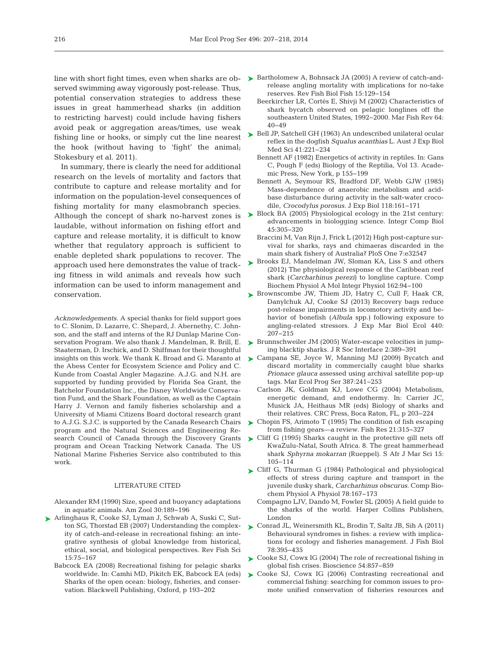served swimming away vigorously post-release. Thus, potential conservation strategies to address these issues in great hammerhead sharks (in addition to restricting harvest) could include having fishers avoid peak or aggregation areas/times, use weak fishing line or hooks, or simply cut the line nearest the hook (without having to 'fight' the animal; Stokesbury et al. 2011).

In summary, there is clearly the need for additional research on the levels of mortality and factors that contribute to capture and release mortality and for information on the population-level consequences of fishing mortality for many elasmobranch species. laudable, without information on fishing effort and capture and release mortality, it is difficult to know whether that regulatory approach is sufficient to enable depleted shark populations to recover. The approach used here demonstrates the value of tracking fitness in wild animals and reveals how such information can be used to inform management and conservation.

*Acknowledgements*. A special thanks for field support goes to C. Slonim, D. Lazarre, C. Shepard, J. Abernethy, C. Johnson, and the staff and interns of the RJ Dunlap Marine Conservation Program. We also thank J. Mandelman, R. Brill, E. Staaterman, D. Irschick, and D. Shiffman for their thoughtful the Abess Center for Ecosystem Science and Policy and C. Kunde from Coastal Angler Magazine. A.J.G. and N.H. are supported by funding provided by Florida Sea Grant, the Batchelor Foundation Inc., the Disney Worldwide Conservation Fund, and the Shark Foundation, as well as the Captain Harry J. Vernon and family fisheries scholarship and a University of Miami Citizens Board doctoral research grant to A.J.G. S.J.C. is supported by the Canada Research Chairs program and the Natural Sciences and Engineering Re search Council of Canada through the Discovery Grants program and Ocean Tracking Network Canada. The US National Marine Fisheries Service also contributed to this work.

#### LITERATURE CITED

- Alexander RM (1990) Size, speed and buoyancy adaptations in aquatic animals. Am Zool 30: 189−196
- [Arlinghaus R, Cooke SJ, Lyman J, Schwab A, Suski C, Sut-](http://dx.doi.org/10.1080/10641260601149432)➤ ton SG, Thorstad EB (2007) Understanding the complexity of catch-and-release in recreational fishing: an integrative synthesis of global knowledge from historical, ethical, social, and biological perspectives. Rev Fish Sci 15: 75−167
	- Babcock EA (2008) Recreational fishing for pelagic sharks worldwide. In:Camhi MD, Pikitch EK, Babcock EA (eds) Sharks of the open ocean: biology, fisheries, and conservation. Blackwell Publishing, Oxford, p 193−202
- line with short fight times, even when sharks are ob-  $\blacktriangleright$  [Bartholomew A, Bohnsack JA \(2005\) A review of catch-and](http://dx.doi.org/10.1007/s11160-005-2175-1)release angling mortality with implications for no-take reserves. Rev Fish Biol Fish 15: 129−154
	- Beerkircher LR, Cortés E, Shivji M (2002) Characteristics of shark bycatch observed on pelagic longlines off the southeastern United States, 1992−2000. Mar Fish Rev 64: 40−49
	- ► [Bell JP, Satchell GH \(1963\) An undescribed unilateral ocular](http://dx.doi.org/10.1038/icb.1963.22) reflex in the dogfish *Squalus acanthias* L. Aust J Exp Biol Med Sci 41:221-234
		- Bennett AF (1982) Energetics of activity in reptiles. In:Gans C, Pough F (eds) Biology of the Reptilia, Vol 13. Academic Press, New York, p 155−199
		- Bennett A, Seymour RS, Bradford DF, Webb GJW (1985) Mass-dependence of anaerobic metabolism and acidbase disturbance during activity in the salt-water crocodile, *Crocodylus porosus.* J Exp Biol 118: 161−171
- Although the concept of shark no-harvest zones is  $\triangleright$  Block BA (2005) Physiological ecology in the 21st century: advancements in biologging science. Integr Comp Biol 45: 305−320
	- Braccini M, Van Rijn J, Frick L (2012) High post-capture survival for sharks, rays and chimaeras discarded in the main shark fishery of Australia? PloS One 7:e32547
	- ▶ [Brooks EJ, Mandelman JW, Sloman KA, Liss S and others](http://dx.doi.org/10.1016/j.cbpa.2011.04.012) (2012) The physiological response of the Caribbean reef shark (*Carcharhinus perezi*) to longline capture. Comp Biochem Physiol A Mol Integr Physiol 162:94-100
	- ▶ [Brownscombe JW, Thiem JD, Hatry C, Cull F, Haak CR,](http://dx.doi.org/10.1016/j.jembe.2012.12.004) Danylchuk AJ, Cooke SJ (2013) Recovery bags reduce post-release impairments in locomotory activity and be havior of bonefish (*Albula* spp.) following exposure to angling-related stressors. J Exp Mar Biol Ecol 440: 207−215
	- ► [Brunnschweiler JM \(2005\) Water-escape velocities in jump](http://dx.doi.org/10.1098/rsif.2005.0047)ing blacktip sharks. J R Soc Interface 2: 389−391
- insights on this work. We thank K. Broad and G. Maranto at [Campana SE, Joyce W, Manning MJ \(2009\) Bycatch and](http://dx.doi.org/10.1126/science.339.6121.757-a) ➤ discard mortality in commercially caught blue sharks *Prionace glauca* assessed using archival satellite pop-up tags. Mar Ecol Prog Ser 387:241-253
	- Carlson JK, Goldman KJ, Lowe CG (2004) Metabolism, energetic demand, and endothermy. In: Carrier JC, Musick JA, Heithaus MR (eds) Biology of sharks and their relatives. CRC Press, Boca Raton, FL, p 203−224
	- ► [Chopin FS, Arimoto T \(1995\) The condition of fish escaping](http://dx.doi.org/10.1016/0165-7836(94)00301-C) from fishing gears—a review. Fish Res 21:315-327
	- ► Cliff G (1995) Sharks caught in the protective gill nets of KwaZulu-Natal, South Africa. 8. The great hammerhead shark *Sphyrna mokarran* (Rueppel). S Afr J Mar Sci 15: 105−114
	- ► [Cliff G, Thurman G \(1984\) Pathological and physiological](http://dx.doi.org/10.1111/j.1467-2679.2007.00247.x) effects of stress during capture and transport in the juvenile dusky shark, *Carcharhinus obscurus.* Comp Bio chem Physiol A Physiol 78: 167−173
		- Compagno LJV, Dando M, Fowler SL (2005) A field guide to the sharks of the world. Harper Collins Publishers, London
	- ► [Conrad JL, Weinersmith KL, Brodin T, Saltz JB, Sih A \(2011\)](http://dx.doi.org/10.1111/j.1095-8649.2010.02874.x) Behavioural syndromes in fishes: a review with implications for ecology and fisheries management. J Fish Biol 78: 395−435
	- ► [Cooke SJ, Cowx IG \(2004\) The role of recreational fishing in](http://dx.doi.org/10.1641/0006-3568(2004)054[0857%3ATRORFI]2.0.CO%3B2) global fish crises. Bioscience 54: 857−859
	- ▶ [Cooke SJ, Cowx IG \(2006\) Contrasting recreational and](http://dx.doi.org/10.1016/j.biocon.2005.09.019) commercial fishing: searching for common issues to promote unified conservation of fisheries resources and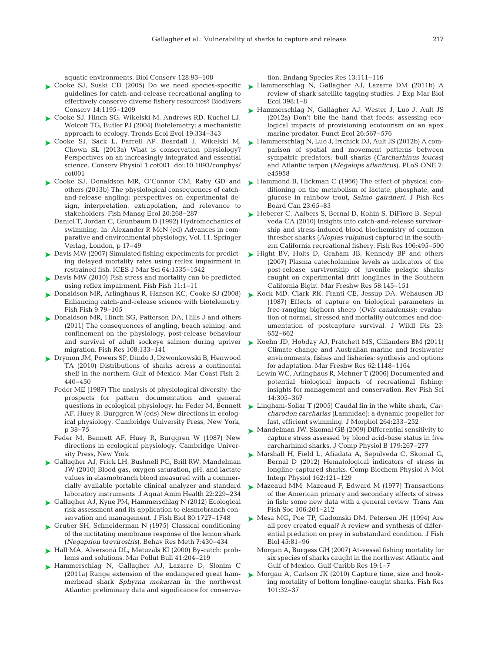aquatic environments. Biol Conserv 128:93-108

- ► [Cooke SJ, Suski CD \(2005\) Do we need species-specific](http://dx.doi.org/10.1007/s10531-004-7845-0) ► [Hammerschlag N, Gallagher AJ, Lazarre DM \(2011b\) A](http://dx.doi.org/10.1016/j.jembe.2010.12.012) guidelines for catch-and-release recreational angling to effectively conserve diverse fishery resources? Biodivers Conserv 14: 1195−1209
- ► [Cooke SJ, Hinch SG, Wikelski M, Andrews RD, Kuchel LJ,](http://dx.doi.org/10.1016/j.tree.2004.04.003) Wolcott TG, Butler PJ (2004) Biotelemetry: a mechanistic approach to ecology. Trends Ecol Evol 19:334-343
- ► [Cooke SJ, Sack L, Farrell AP, Beardall J, Wikelski M,](http://dx.doi.org/10.1093/conphys/cot001) Chown SL (2013a) What is conservation physiology? Perspectives on an increasingly integrated and essential science. Conserv Physiol 1:cot001. doi:10.1093/conphys/ cot001
- ► [Cooke SJ, Donaldson MR, O'Connor CM, Raby GD and](http://dx.doi.org/10.1111/j.1365-2400.2012.00867.x) others (2013b) The physiological consequences of catchand-release angling: perspectives on experimental design, interpretation, extrapolation, and relevance to stakeholders. Fish Manag Ecol 20:268-287
	- Daniel T, Jordan C, Grunbaum D (1992) Hydromechanics of swimming. In: Alexander R McN (ed) Advances in comparative and environmental physiology, Vol. 11. Springer Verlag, London, p 17−49
- ▶ [Davis MW \(2007\) Simulated fishing experiments for predict](http://dx.doi.org/10.1093/icesjms/fsm087)ing delayed mortality rates using reflex impairment in restrained fish. ICES J Mar Sci 64: 1535−1542
- ► [Davis MW \(2010\) Fish stress and mortality can be predicted](http://dx.doi.org/10.1111/j.1467-2979.2009.00331.x) using reflex impairment. Fish Fish 11: 1−11
- ► [Donaldson MR, Arlinghaus R, Hanson KC, Cooke SJ \(2008\)](http://dx.doi.org/10.1111/j.1467-2979.2007.00265.x) Enhancing catch-and-release science with biotelemetry. Fish Fish 9: 79−105
- ► [Donaldson MR, Hinch SG, Patterson DA, Hills J and others](http://dx.doi.org/10.1016/j.fishres.2010.12.011) (2011) The consequences of angling, beach seining, and confinement on the physiology, post-release behaviour migration. Fish Res 108: 133−141
- [Drymon JM, Powers SP, Dindo J, Dzwonkowski B, Henwood](http://dx.doi.org/10.1577/C09-061.1) ➤ TA (2010) Distributions of sharks across a continental shelf in the northern Gulf of Mexico. Mar Coast Fish 2: 440−450
	- Feder ME (1987) The analysis of physiological diversity: the prospects for pattern documentation and general questions in ecological physiology. In: Feder M, Bennett AF, Huey R, Burggren W (eds) New directions in ecological physiology. Cambridge University Press, New York, p 38−75
	- Feder M, Bennett AF, Huey R, Burggren W (1987) New directions in ecological physiology. Cambridge University Press, New York
- ► [Gallagher AJ, Frick LH, Bushnell PG, Brill RW, Mandelman](http://dx.doi.org/10.1577/H10-012.1) JW (2010) Blood gas, oxygen saturation, pH, and lactate values in elasmobranch blood measured with a commercially available portable clinical analyzer and standard laboratory instruments. J Aquat Anim Health 22: 229−234
- ► [Gallagher AJ, Kyne PM, Hammerschlag N \(2012\) Ecological](http://dx.doi.org/10.1111/j.1095-8649.2012.03235.x) risk assessment and its application to elasmobranch conservation and management. J Fish Biol 80: 1727−1748
- ► [Gruber SH, Schneiderman N \(1975\) Classical conditioning](http://dx.doi.org/10.3758/BF03201554) of the nictitating membrane response of the lemon shark (*Negaprion brevirostris*). Behav Res Meth 7: 430−434
- ► Hall MA, Alversonà DL, Metuzals KI (2000) By-catch: problems and solutions. Mar Pollut Bull 41:204-219
- ▶ [Hammerschlag N, Gallagher AJ, Lazarre D, Slonim C](http://dx.doi.org/10.3354/esr00332) (2011a) Range extension of the endangered great hammerhead shark *Sphyrna mokarran* in the northwest Atlantic: preliminary data and significance for conserva-

tion. Endang Species Res 13: 111−116

- review of shark satellite tagging studies. J Exp Mar Biol Ecol 398: 1−8
- ▶ [Hammerschlag N, Gallagher AJ, Wester J, Luo J, Ault JS](http://dx.doi.org/10.1111/j.1365-2435.2012.01973.x)  $(2012a)$  Don't bite the hand that feeds: assessing ecological impacts of provisioning ecotourism on an apex marine predator. Funct Ecol 26: 567−576
- ► [Hammerschlag N, Luo J, Irschick DJ, Ault JS \(2012b\) A com](http://dx.doi.org/10.1371/journal.pone.0045958)parison of spatial and movement patterns between sympatric predators: bull sharks (*Carcharhinus leucas*) and Atlantic tarpon (*Megalops atlanticus*). PLoS ONE 7: e45958
- ► [Hammond B, Hickman C \(1966\) The effect of physical con](http://dx.doi.org/10.1139/f66-006)ditioning on the metabolism of lactate, phosphate, and glucose in rainbow trout, *Salmo gairdneri.* J Fish Res Board Can 23:65-83
- ► [Heberer C, Aalbers S, Bernal D, Kohin S, DiFiore B, Sepul](http://dx.doi.org/10.1016/0034-5687(88)90018-7)veda CA (2010) Insights into catch-and-release survivorship and stress-induced blood biochemistry of common thresher sharks (*Alopias vulpinus*) captured in the southern California recreational fishery. Fish Res 106: 495−500
- ► [Hight BV, Holts D, Graham JB, Kennedy BP and others](http://dx.doi.org/10.1093/icesjms/fsr024) (2007) Plasma catecholamine levels as indicators of the post-release survivorship of juvenile pelagic sharks caught on experimental drift longlines in the Southern California Bight. Mar Freshw Res 58: 145−151
- ► [Kock MD, Clark RK, Franti CE, Jessup DA, Wehausen JD](http://www.ncbi.nlm.nih.gov/entrez/query.fcgi?cmd=Retrieve&db=PubMed&list_uids=3682092&dopt=Abstract) (1987) Effects of capture on biological parameters in free-ranging bighorn sheep (*Ovis canadensis*): evaluation of normal, stressed and mortality outcomes and documentation of postcapture survival. J Wildl Dis 23: 652−662
- and survival of adult sockeye salmon during upriver  $\triangleright$  [Koehn JD, Hobday AJ, Pratchett MS, Gillanders BM \(2011\)](http://dx.doi.org/10.1080/10641260600886455) Climate change and Australian marine and freshwater environments, fishes and fisheries: synthesis and options for adaptation. Mar Freshw Res 62: 1148−1164
	- Lewin WC, Arlinghaus R, Mehner T (2006) Documented and potential biological impacts of recreational fishing: insights for management and conservation. Rev Fish Sci 14: 305−367
	- [Lingham-Soliar T \(2005\) Caudal fin in the white shark,](http://dx.doi.org/10.1002/jmor.10328) *Car-*➤ *charodon carcharias* (Lamnidae):a dynamic propeller for fast, efficient swimming. J Morphol 264: 233−252
	- ► [Mandelman JW, Skomal GB \(2009\) Differential sensitivity to](http://dx.doi.org/10.1007/s00360-008-0306-4) capture stress assessed by blood acid-base status in five carcharhinid sharks. J Comp Physiol B 179:267-277
	- [Marshall H, Field L, Afiadata A, Sepulveda C, Skomal G,](http://dx.doi.org/10.1016/j.cbpa.2012.02.008) ➤ Bernal D (2012) Hematological indicators of stress in longline-captured sharks. Comp Biochem Physiol A Mol Integr Physiol 162: 121−129
	- ▶ [Mazeaud MM, Mazeaud F, Edward M \(1977\) Transactions](http://dx.doi.org/10.1577/1548-8659(1977)106%3C201%3APASEOS%3E2.0.CO%3B2) of the American primary and secondary effects of stress in fish: some new data with a general review. Trans Am Fish Soc 106: 201−212
	- ► [Mesa MG, Poe TP, Gadomski DM, Petersen JH \(1994\) Are](http://dx.doi.org/10.1111/j.1095-8649.1994.tb01085.x) all prey created equal? A review and synthesis of differential predation on prey in substandard condition. J Fish Biol 45:81–96
		- Morgan A, Burgess GH (2007) At-vessel fishing mortality for six species of sharks caught in the northwest Atlantic and Gulf of Mexico. Gulf Caribb Res 19:1-7
	- ▶ [Morgan A, Carlson JK \(2010\) Capture time, size and hook](http://dx.doi.org/10.1016/j.fishres.2009.09.004)ing mortality of bottom longline-caught sharks. Fish Res 101: 32−37